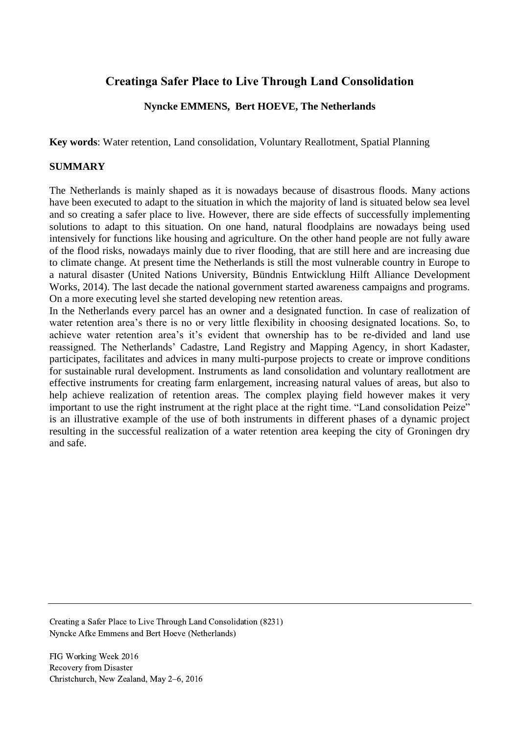# **Creatinga Safer Place to Live Through Land Consolidation**

## **Nyncke EMMENS, Bert HOEVE, The Netherlands**

**Key words**: Water retention, Land consolidation, Voluntary Reallotment, Spatial Planning

### **SUMMARY**

The Netherlands is mainly shaped as it is nowadays because of disastrous floods. Many actions have been executed to adapt to the situation in which the majority of land is situated below sea level and so creating a safer place to live. However, there are side effects of successfully implementing solutions to adapt to this situation. On one hand, natural floodplains are nowadays being used intensively for functions like housing and agriculture. On the other hand people are not fully aware of the flood risks, nowadays mainly due to river flooding, that are still here and are increasing due to climate change. At present time the Netherlands is still the most vulnerable country in Europe to a natural disaster (United Nations University, Bündnis Entwicklung Hilft Alliance Development Works, 2014). The last decade the national government started awareness campaigns and programs. On a more executing level she started developing new retention areas.

In the Netherlands every parcel has an owner and a designated function. In case of realization of water retention area's there is no or very little flexibility in choosing designated locations. So, to achieve water retention area's it's evident that ownership has to be re-divided and land use reassigned. The Netherlands' Cadastre, Land Registry and Mapping Agency, in short Kadaster, participates, facilitates and advices in many multi-purpose projects to create or improve conditions for sustainable rural development. Instruments as land consolidation and voluntary reallotment are effective instruments for creating farm enlargement, increasing natural values of areas, but also to help achieve realization of retention areas. The complex playing field however makes it very important to use the right instrument at the right place at the right time. "Land consolidation Peize" is an illustrative example of the use of both instruments in different phases of a dynamic project resulting in the successful realization of a water retention area keeping the city of Groningen dry and safe.

Creating a Safer Place to Live Through Land Consolidation (8231) Nyncke Afke Emmens and Bert Hoeve (Netherlands)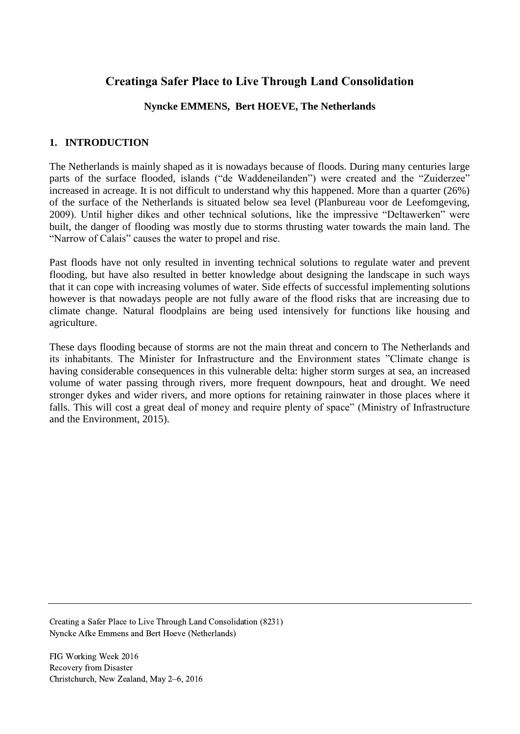# **Creatinga Safer Place to Live Through Land Consolidation**

## **Nyncke EMMENS, Bert HOEVE, The Netherlands**

## **1. INTRODUCTION**

The Netherlands is mainly shaped as it is nowadays because of floods. During many centuries large parts of the surface flooded, islands ("de Waddeneilanden") were created and the "Zuiderzee" increased in acreage. It is not difficult to understand why this happened. More than a quarter (26%) of the surface of the Netherlands is situated below sea level (Planbureau voor de Leefomgeving, 2009). Until higher dikes and other technical solutions, like the impressive "Deltawerken" were built, the danger of flooding was mostly due to storms thrusting water towards the main land. The "Narrow of Calais" causes the water to propel and rise.

Past floods have not only resulted in inventing technical solutions to regulate water and prevent flooding, but have also resulted in better knowledge about designing the landscape in such ways that it can cope with increasing volumes of water. Side effects of successful implementing solutions however is that nowadays people are not fully aware of the flood risks that are increasing due to climate change. Natural floodplains are being used intensively for functions like housing and agriculture.

These days flooding because of storms are not the main threat and concern to The Netherlands and its inhabitants. The Minister for Infrastructure and the Environment states "Climate change is having considerable consequences in this vulnerable delta: higher storm surges at sea, an increased volume of water passing through rivers, more frequent downpours, heat and drought. We need stronger dykes and wider rivers, and more options for retaining rainwater in those places where it falls. This will cost a great deal of money and require plenty of space" (Ministry of Infrastructure and the Environment, 2015).

Creating a Safer Place to Live Through Land Consolidation (8231) Nyncke Afke Emmens and Bert Hoeve (Netherlands)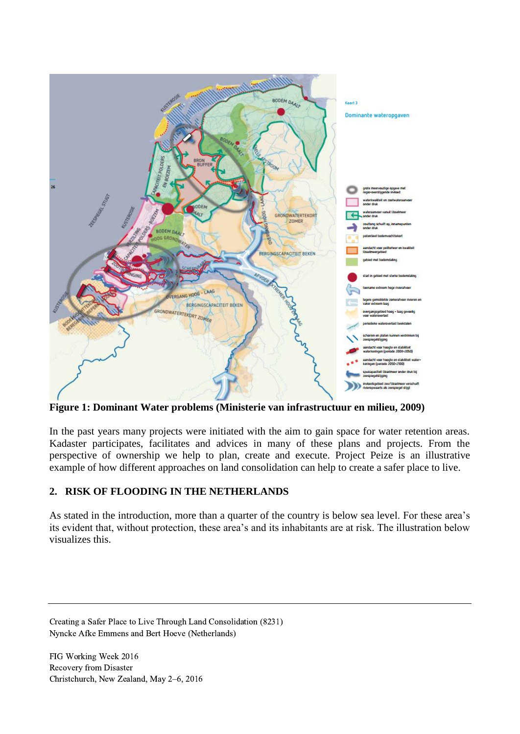

**Figure 1: Dominant Water problems (Ministerie van infrastructuur en milieu, 2009)**

In the past years many projects were initiated with the aim to gain space for water retention areas. Kadaster participates, facilitates and advices in many of these plans and projects. From the perspective of ownership we help to plan, create and execute. Project Peize is an illustrative example of how different approaches on land consolidation can help to create a safer place to live.

### **2. RISK OF FLOODING IN THE NETHERLANDS**

As stated in the introduction, more than a quarter of the country is below sea level. For these area's its evident that, without protection, these area's and its inhabitants are at risk. The illustration below visualizes this.

Creating a Safer Place to Live Through Land Consolidation (8231) Nyncke Afke Emmens and Bert Hoeve (Netherlands)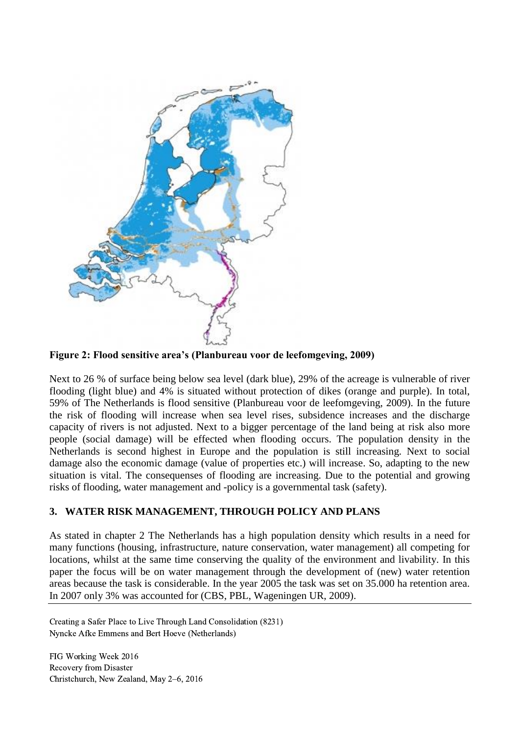

**Figure 2: Flood sensitive area's (Planbureau voor de leefomgeving, 2009)**

Next to 26 % of surface being below sea level (dark blue), 29% of the acreage is vulnerable of river flooding (light blue) and 4% is situated without protection of dikes (orange and purple). In total, 59% of The Netherlands is flood sensitive (Planbureau voor de leefomgeving, 2009). In the future the risk of flooding will increase when sea level rises, subsidence increases and the discharge capacity of rivers is not adjusted. Next to a bigger percentage of the land being at risk also more people (social damage) will be effected when flooding occurs. The population density in the Netherlands is second highest in Europe and the population is still increasing. Next to social damage also the economic damage (value of properties etc.) will increase. So, adapting to the new situation is vital. The consequenses of flooding are increasing. Due to the potential and growing risks of flooding, water management and -policy is a governmental task (safety).

### **3. WATER RISK MANAGEMENT, THROUGH POLICY AND PLANS**

As stated in chapter 2 The Netherlands has a high population density which results in a need for many functions (housing, infrastructure, nature conservation, water management) all competing for locations, whilst at the same time conserving the quality of the environment and livability. In this paper the focus will be on water management through the development of (new) water retention areas because the task is considerable. In the year 2005 the task was set on 35.000 ha retention area. In 2007 only 3% was accounted for (CBS, PBL, Wageningen UR, 2009).

Creating a Safer Place to Live Through Land Consolidation (8231) Nyncke Afke Emmens and Bert Hoeve (Netherlands)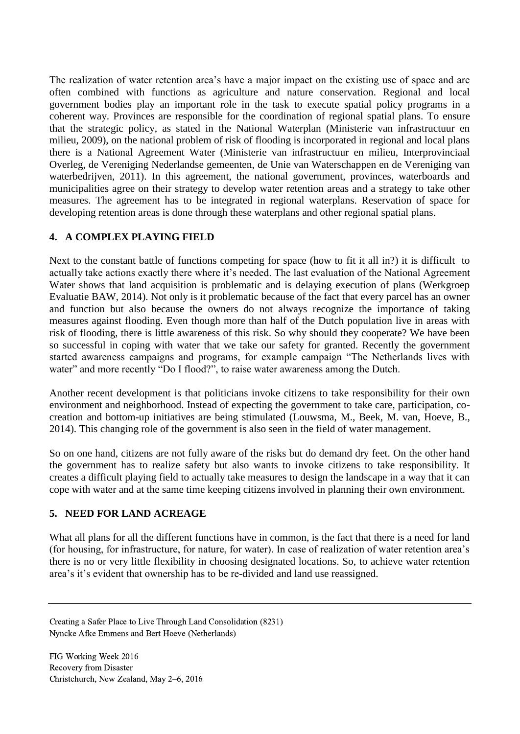The realization of water retention area's have a major impact on the existing use of space and are often combined with functions as agriculture and nature conservation. Regional and local government bodies play an important role in the task to execute spatial policy programs in a coherent way. Provinces are responsible for the coordination of regional spatial plans. To ensure that the strategic policy, as stated in the National Waterplan (Ministerie van infrastructuur en milieu, 2009), on the national problem of risk of flooding is incorporated in regional and local plans there is a National Agreement Water (Ministerie van infrastructuur en milieu, Interprovinciaal Overleg, de Vereniging Nederlandse gemeenten, de Unie van Waterschappen en de Vereniging van waterbedrijven, 2011). In this agreement, the national government, provinces, waterboards and municipalities agree on their strategy to develop water retention areas and a strategy to take other measures. The agreement has to be integrated in regional waterplans. Reservation of space for developing retention areas is done through these waterplans and other regional spatial plans.

## **4. A COMPLEX PLAYING FIELD**

Next to the constant battle of functions competing for space (how to fit it all in?) it is difficult to actually take actions exactly there where it's needed. The last evaluation of the National Agreement Water shows that land acquisition is problematic and is delaying execution of plans (Werkgroep Evaluatie BAW, 2014). Not only is it problematic because of the fact that every parcel has an owner and function but also because the owners do not always recognize the importance of taking measures against flooding. Even though more than half of the Dutch population live in areas with risk of flooding, there is little awareness of this risk. So why should they cooperate? We have been so successful in coping with water that we take our safety for granted. Recently the government started awareness campaigns and programs, for example campaign "The Netherlands lives with water" and more recently "Do I flood?", to raise water awareness among the Dutch.

Another recent development is that politicians invoke citizens to take responsibility for their own environment and neighborhood. Instead of expecting the government to take care, participation, cocreation and bottom-up initiatives are being stimulated (Louwsma, M., Beek, M. van, Hoeve, B., 2014). This changing role of the government is also seen in the field of water management.

So on one hand, citizens are not fully aware of the risks but do demand dry feet. On the other hand the government has to realize safety but also wants to invoke citizens to take responsibility. It creates a difficult playing field to actually take measures to design the landscape in a way that it can cope with water and at the same time keeping citizens involved in planning their own environment.

### **5. NEED FOR LAND ACREAGE**

What all plans for all the different functions have in common, is the fact that there is a need for land (for housing, for infrastructure, for nature, for water). In case of realization of water retention area's there is no or very little flexibility in choosing designated locations. So, to achieve water retention area's it's evident that ownership has to be re-divided and land use reassigned.

Creating a Safer Place to Live Through Land Consolidation (8231) Nyncke Afke Emmens and Bert Hoeve (Netherlands)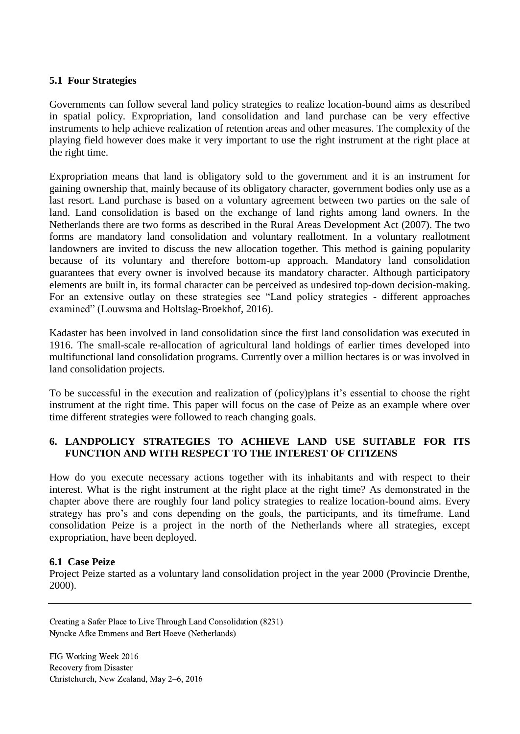#### **5.1 Four Strategies**

Governments can follow several land policy strategies to realize location-bound aims as described in spatial policy. Expropriation, land consolidation and land purchase can be very effective instruments to help achieve realization of retention areas and other measures. The complexity of the playing field however does make it very important to use the right instrument at the right place at the right time.

Expropriation means that land is obligatory sold to the government and it is an instrument for gaining ownership that, mainly because of its obligatory character, government bodies only use as a last resort. Land purchase is based on a voluntary agreement between two parties on the sale of land. Land consolidation is based on the exchange of land rights among land owners. In the Netherlands there are two forms as described in the Rural Areas Development Act (2007). The two forms are mandatory land consolidation and voluntary reallotment. In a voluntary reallotment landowners are invited to discuss the new allocation together. This method is gaining popularity because of its voluntary and therefore bottom-up approach. Mandatory land consolidation guarantees that every owner is involved because its mandatory character. Although participatory elements are built in, its formal character can be perceived as undesired top-down decision-making. For an extensive outlay on these strategies see "Land policy strategies - different approaches examined" (Louwsma and Holtslag-Broekhof, 2016).

Kadaster has been involved in land consolidation since the first land consolidation was executed in 1916. The small-scale re-allocation of agricultural land holdings of earlier times developed into multifunctional land consolidation programs. Currently over a million hectares is or was involved in land consolidation projects.

To be successful in the execution and realization of (policy)plans it's essential to choose the right instrument at the right time. This paper will focus on the case of Peize as an example where over time different strategies were followed to reach changing goals.

### **6. LANDPOLICY STRATEGIES TO ACHIEVE LAND USE SUITABLE FOR ITS FUNCTION AND WITH RESPECT TO THE INTEREST OF CITIZENS**

How do you execute necessary actions together with its inhabitants and with respect to their interest. What is the right instrument at the right place at the right time? As demonstrated in the chapter above there are roughly four land policy strategies to realize location-bound aims. Every strategy has pro's and cons depending on the goals, the participants, and its timeframe. Land consolidation Peize is a project in the north of the Netherlands where all strategies, except expropriation, have been deployed.

#### **6.1 Case Peize**

Project Peize started as a voluntary land consolidation project in the year 2000 (Provincie Drenthe, 2000).

Creating a Safer Place to Live Through Land Consolidation (8231) Nyncke Afke Emmens and Bert Hoeve (Netherlands)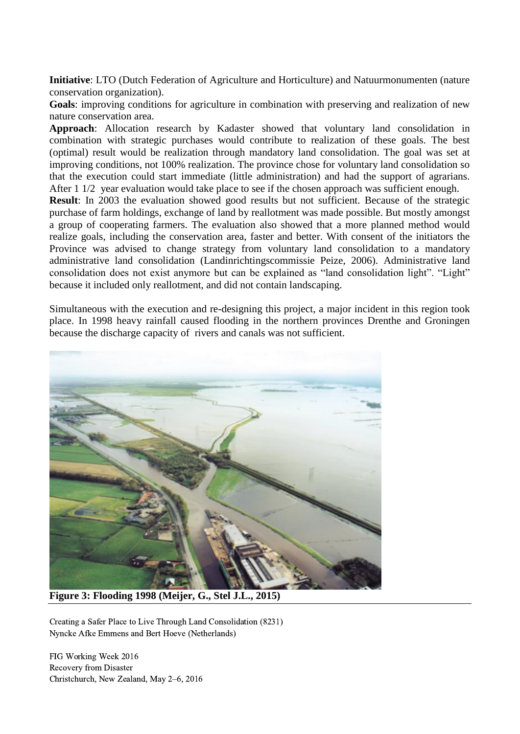**Initiative**: LTO (Dutch Federation of Agriculture and Horticulture) and Natuurmonumenten (nature conservation organization).

**Goals**: improving conditions for agriculture in combination with preserving and realization of new nature conservation area.

**Approach**: Allocation research by Kadaster showed that voluntary land consolidation in combination with strategic purchases would contribute to realization of these goals. The best (optimal) result would be realization through mandatory land consolidation. The goal was set at improving conditions, not 100% realization. The province chose for voluntary land consolidation so that the execution could start immediate (little administration) and had the support of agrarians. After 1 1/2 year evaluation would take place to see if the chosen approach was sufficient enough.

**Result:** In 2003 the evaluation showed good results but not sufficient. Because of the strategic purchase of farm holdings, exchange of land by reallotment was made possible. But mostly amongst a group of cooperating farmers. The evaluation also showed that a more planned method would realize goals, including the conservation area, faster and better. With consent of the initiators the Province was advised to change strategy from voluntary land consolidation to a mandatory administrative land consolidation (Landinrichtingscommissie Peize, 2006). Administrative land consolidation does not exist anymore but can be explained as "land consolidation light". "Light" because it included only reallotment, and did not contain landscaping.

Simultaneous with the execution and re-designing this project, a major incident in this region took place. In 1998 heavy rainfall caused flooding in the northern provinces Drenthe and Groningen because the discharge capacity of rivers and canals was not sufficient.



**Figure 3: Flooding 1998 (Meijer, G., Stel J.L., 2015)**

Creating a Safer Place to Live Through Land Consolidation (8231) Nyncke Afke Emmens and Bert Hoeve (Netherlands)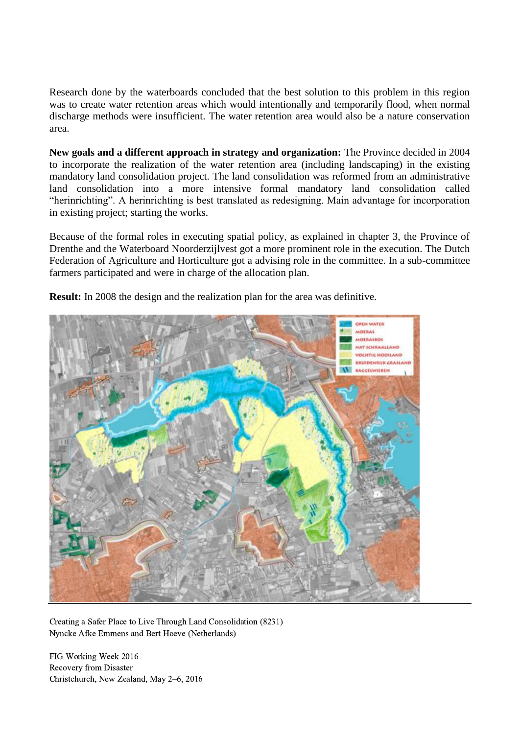Research done by the waterboards concluded that the best solution to this problem in this region was to create water retention areas which would intentionally and temporarily flood, when normal discharge methods were insufficient. The water retention area would also be a nature conservation area.

**New goals and a different approach in strategy and organization:** The Province decided in 2004 to incorporate the realization of the water retention area (including landscaping) in the existing mandatory land consolidation project. The land consolidation was reformed from an administrative land consolidation into a more intensive formal mandatory land consolidation called "herinrichting". A herinrichting is best translated as redesigning. Main advantage for incorporation in existing project; starting the works.

Because of the formal roles in executing spatial policy, as explained in chapter 3, the Province of Drenthe and the Waterboard Noorderzijlvest got a more prominent role in the execution. The Dutch Federation of Agriculture and Horticulture got a advising role in the committee. In a sub-committee farmers participated and were in charge of the allocation plan.



**Result:** In 2008 the design and the realization plan for the area was definitive.

Creating a Safer Place to Live Through Land Consolidation (8231) Nyncke Afke Emmens and Bert Hoeve (Netherlands)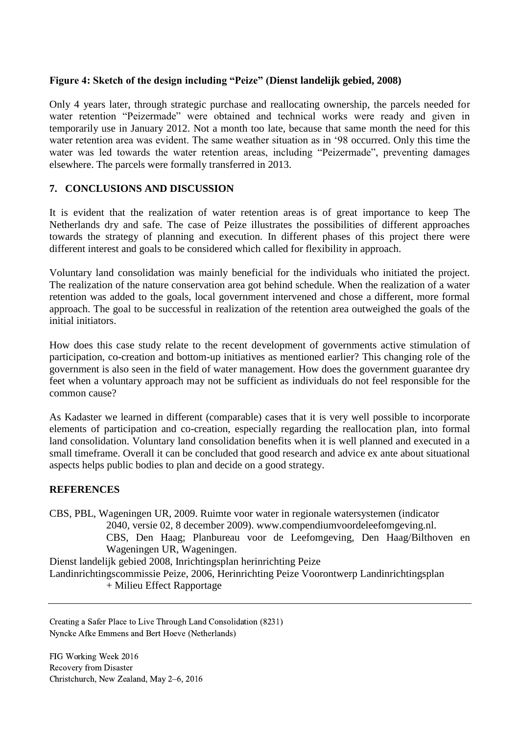### **Figure 4: Sketch of the design including "Peize" (Dienst landelijk gebied, 2008)**

Only 4 years later, through strategic purchase and reallocating ownership, the parcels needed for water retention "Peizermade" were obtained and technical works were ready and given in temporarily use in January 2012. Not a month too late, because that same month the need for this water retention area was evident. The same weather situation as in '98 occurred. Only this time the water was led towards the water retention areas, including "Peizermade", preventing damages elsewhere. The parcels were formally transferred in 2013.

#### **7. CONCLUSIONS AND DISCUSSION**

It is evident that the realization of water retention areas is of great importance to keep The Netherlands dry and safe. The case of Peize illustrates the possibilities of different approaches towards the strategy of planning and execution. In different phases of this project there were different interest and goals to be considered which called for flexibility in approach.

Voluntary land consolidation was mainly beneficial for the individuals who initiated the project. The realization of the nature conservation area got behind schedule. When the realization of a water retention was added to the goals, local government intervened and chose a different, more formal approach. The goal to be successful in realization of the retention area outweighed the goals of the initial initiators.

How does this case study relate to the recent development of governments active stimulation of participation, co-creation and bottom-up initiatives as mentioned earlier? This changing role of the government is also seen in the field of water management. How does the government guarantee dry feet when a voluntary approach may not be sufficient as individuals do not feel responsible for the common cause?

As Kadaster we learned in different (comparable) cases that it is very well possible to incorporate elements of participation and co-creation, especially regarding the reallocation plan, into formal land consolidation. Voluntary land consolidation benefits when it is well planned and executed in a small timeframe. Overall it can be concluded that good research and advice ex ante about situational aspects helps public bodies to plan and decide on a good strategy.

#### **REFERENCES**

CBS, PBL, Wageningen UR, 2009. Ruimte voor water in regionale watersystemen (indicator 2040, versie 02, 8 december 2009). www.compendiumvoordeleefomgeving.nl. CBS, Den Haag; Planbureau voor de Leefomgeving, Den Haag/Bilthoven en Wageningen UR, Wageningen. Dienst landelijk gebied 2008, Inrichtingsplan herinrichting Peize Landinrichtingscommissie Peize, 2006, Herinrichting Peize Voorontwerp Landinrichtingsplan + Milieu Effect Rapportage

Creating a Safer Place to Live Through Land Consolidation (8231) Nyncke Afke Emmens and Bert Hoeve (Netherlands)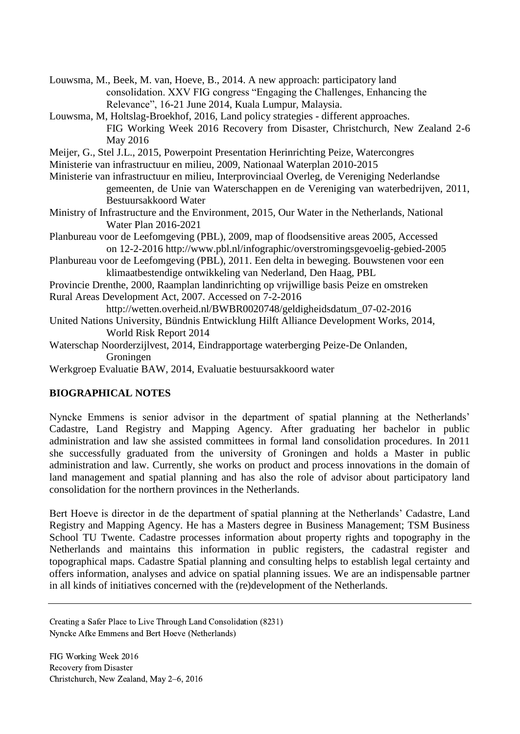Louwsma, M., Beek, M. van, Hoeve, B., 2014. A new approach: participatory land consolidation. XXV FIG congress "Engaging the Challenges, Enhancing the Relevance", 16-21 June 2014, Kuala Lumpur, Malaysia.

- Louwsma, M, Holtslag-Broekhof, 2016, Land policy strategies different approaches. FIG Working Week 2016 Recovery from Disaster, Christchurch, New Zealand 2-6 May 2016
- Meijer, G., Stel J.L., 2015, Powerpoint Presentation Herinrichting Peize, Watercongres
- Ministerie van infrastructuur en milieu, 2009, Nationaal Waterplan 2010-2015
- Ministerie van infrastructuur en milieu, Interprovinciaal Overleg, de Vereniging Nederlandse gemeenten, de Unie van Waterschappen en de Vereniging van waterbedrijven, 2011, Bestuursakkoord Water
- Ministry of Infrastructure and the Environment, 2015, Our Water in the Netherlands, National Water Plan 2016-2021
- Planbureau voor de Leefomgeving (PBL), 2009, map of floodsensitive areas 2005, Accessed on 12-2-2016 http://www.pbl.nl/infographic/overstromingsgevoelig-gebied-2005
- Planbureau voor de Leefomgeving (PBL), 2011. Een delta in beweging. Bouwstenen voor een klimaatbestendige ontwikkeling van Nederland, Den Haag, PBL
- Provincie Drenthe, 2000, Raamplan landinrichting op vrijwillige basis Peize en omstreken Rural Areas Development Act, 2007. Accessed on 7-2-2016
	- http://wetten.overheid.nl/BWBR0020748/geldigheidsdatum\_07-02-2016
- United Nations University, Bündnis Entwicklung Hilft Alliance Development Works, 2014, World Risk Report 2014
- Waterschap Noorderzijlvest, 2014, Eindrapportage waterberging Peize-De Onlanden, Groningen
- Werkgroep Evaluatie BAW, 2014, Evaluatie bestuursakkoord water

### **BIOGRAPHICAL NOTES**

Nyncke Emmens is senior advisor in the department of spatial planning at the Netherlands' Cadastre, Land Registry and Mapping Agency. After graduating her bachelor in public administration and law she assisted committees in formal land consolidation procedures. In 2011 she successfully graduated from the university of Groningen and holds a Master in public administration and law. Currently, she works on product and process innovations in the domain of land management and spatial planning and has also the role of advisor about participatory land consolidation for the northern provinces in the Netherlands.

Bert Hoeve is director in de the department of spatial planning at the Netherlands' Cadastre, Land Registry and Mapping Agency. He has a Masters degree in Business Management; TSM Business School TU Twente. Cadastre processes information about property rights and topography in the Netherlands and maintains this information in public registers, the cadastral register and topographical maps. Cadastre Spatial planning and consulting helps to establish legal certainty and offers information, analyses and advice on spatial planning issues. We are an indispensable partner in all kinds of initiatives concerned with the (re)development of the Netherlands.

Creating a Safer Place to Live Through Land Consolidation (8231) Nyncke Afke Emmens and Bert Hoeve (Netherlands)